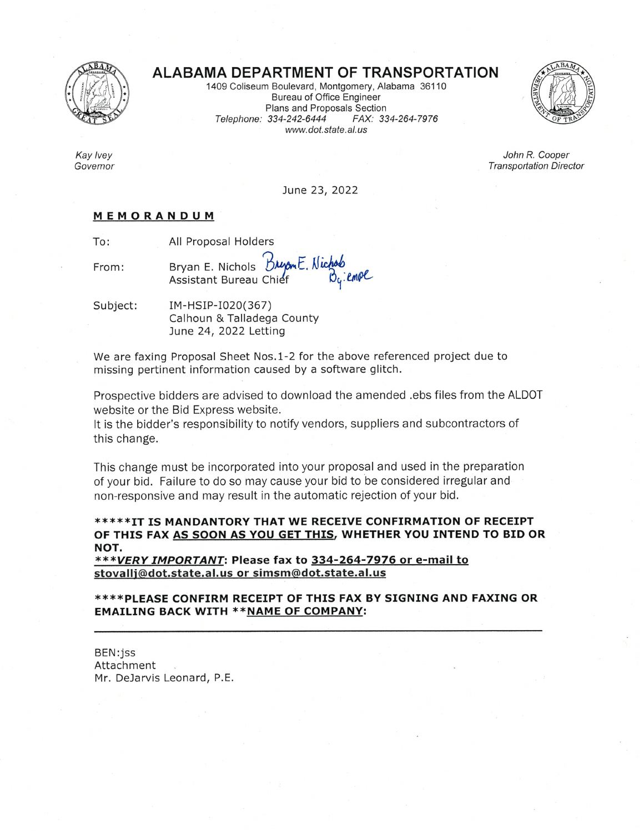

Kay Ivey

Governor

# **ALABAMA DEPARTMENT OF TRANSPORTATION**

1409 Coliseum Boulevard, Montgomery, Alabama 36110 **Bureau of Office Engineer** Plans and Proposals Section FAX: 334-264-7976 Telephone: 334-242-6444 www.dot.state.al.us



John R. Cooper **Transportation Director** 

June 23, 2022

### MEMORANDUM

To: All Proposal Holders

Bryan E. Nichols Durant. Nich From: Assistant Bureau Chief

Subject: IM-HSIP-I020(367) Calhoun & Talladega County June 24, 2022 Letting

We are faxing Proposal Sheet Nos.1-2 for the above referenced project due to missing pertinent information caused by a software glitch.

Prospective bidders are advised to download the amended .ebs files from the ALDOT website or the Bid Express website.

It is the bidder's responsibility to notify vendors, suppliers and subcontractors of this change.

This change must be incorporated into your proposal and used in the preparation of your bid. Failure to do so may cause your bid to be considered irregular and non-responsive and may result in the automatic rejection of your bid.

## \*\*\*\*\*IT IS MANDANTORY THAT WE RECEIVE CONFIRMATION OF RECEIPT OF THIS FAX AS SOON AS YOU GET THIS, WHETHER YOU INTEND TO BID OR NOT.

\*\*\*VERY IMPORTANT: Please fax to 334-264-7976 or e-mail to stovallj@dot.state.al.us or simsm@dot.state.al.us

\*\*\*\*PLEASE CONFIRM RECEIPT OF THIS FAX BY SIGNING AND FAXING OR **EMAILING BACK WITH \*\* NAME OF COMPANY:** 

BEN:jss Attachment Mr. DeJarvis Leonard, P.E.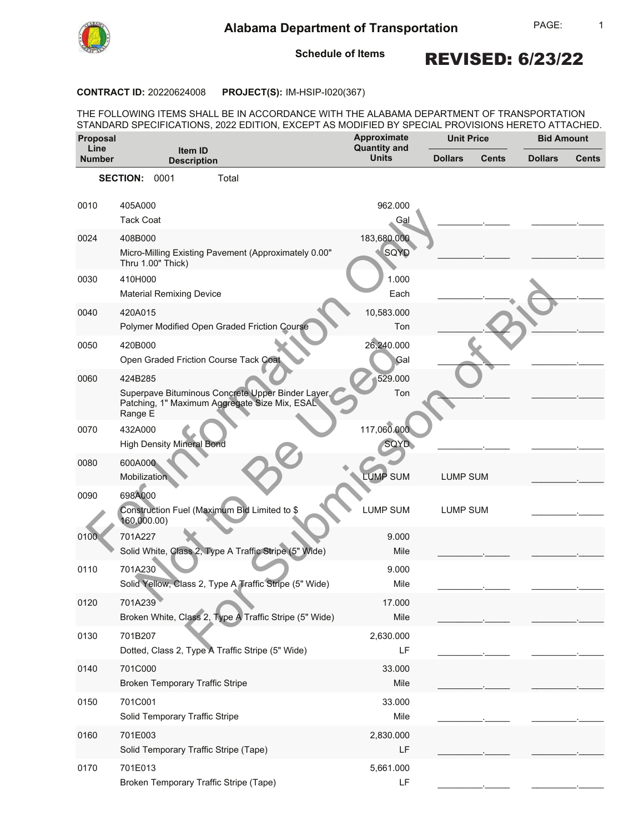

1

**Schedule of Items**

REVISED: 6/23/22

#### **CONTRACT ID: 20220624008 PROJECT(S): IM-HSIP-I020(367)**

THE FOLLOWING ITEMS SHALL BE IN ACCORDANCE WITH THE ALABAMA DEPARTMENT OF TRANSPORTATION STANDARD SPECIFICATIONS, 2022 EDITION, EXCEPT AS MODIFIED BY SPECIAL PROVISIONS HERETO ATTACHED.

| Proposal              |                                                                                                               | Approximate                         | <b>Unit Price</b> |              | <b>Bid Amount</b> |       |
|-----------------------|---------------------------------------------------------------------------------------------------------------|-------------------------------------|-------------------|--------------|-------------------|-------|
| Line<br><b>Number</b> | Item ID<br><b>Description</b>                                                                                 | <b>Quantity and</b><br><b>Units</b> | <b>Dollars</b>    | <b>Cents</b> | <b>Dollars</b>    | Cents |
|                       | <b>SECTION:</b><br>0001<br>Total                                                                              |                                     |                   |              |                   |       |
|                       |                                                                                                               |                                     |                   |              |                   |       |
| 0010                  | 405A000<br><b>Tack Coat</b>                                                                                   | 962.000<br>Gal                      |                   |              |                   |       |
|                       |                                                                                                               | 183,680.000                         |                   |              |                   |       |
| 0024                  | 408B000<br>Micro-Milling Existing Pavement (Approximately 0.00"<br>Thru 1.00" Thick)                          | SQYD                                |                   |              |                   |       |
| 0030                  | 410H000                                                                                                       | 1.000                               |                   |              |                   |       |
|                       | <b>Material Remixing Device</b>                                                                               | Each                                |                   |              |                   |       |
| 0040                  | 420A015                                                                                                       | 10,583.000                          |                   |              |                   |       |
|                       | Polymer Modified Open Graded Friction Course                                                                  | Ton                                 |                   |              |                   |       |
| 0050                  | 420B000                                                                                                       | 26,240.000                          |                   |              |                   |       |
|                       | Open Graded Friction Course Tack Coat                                                                         | Gal                                 |                   |              |                   |       |
| 0060                  | 424B285                                                                                                       | 529.000                             |                   |              |                   |       |
|                       | Superpave Bituminous Concrete Upper Binder Layer,<br>Patching, 1" Maximum Aggregate Size Mix, ESAL<br>Range E | Ton                                 |                   |              |                   |       |
| 0070                  | 432A000                                                                                                       | 117,060.000                         |                   |              |                   |       |
|                       | <b>High Density Mineral Bond</b>                                                                              | SQYD                                |                   |              |                   |       |
| 0080                  | 600A000<br>Mobilization                                                                                       | <b>LUMP SUM</b>                     | <b>LUMP SUM</b>   |              |                   |       |
| 0090                  | 698A000<br>Construction Fuel (Maximum Bid Limited to \$<br>160,000.00)                                        | <b>LUMP SUM</b>                     | <b>LUMP SUM</b>   |              |                   |       |
| 0100                  | 701A227                                                                                                       | 9.000                               |                   |              |                   |       |
|                       | Solid White, Class 2, Type A Traffic Stripe (5" Wide)                                                         | Mile                                |                   |              |                   |       |
| 0110                  | 701A230                                                                                                       | 9.000                               |                   |              |                   |       |
|                       | Solid Yellow, Class 2, Type A Traffic Stripe (5" Wide)                                                        | Mile                                |                   |              |                   |       |
| 0120                  | 701A239                                                                                                       | 17.000                              |                   |              |                   |       |
|                       | Broken White, Class 2, Type A Traffic Stripe (5" Wide)                                                        | Mile                                |                   |              |                   |       |
| 0130                  | 701B207                                                                                                       | 2,630.000                           |                   |              |                   |       |
|                       | Dotted, Class 2, Type A Traffic Stripe (5" Wide)                                                              | LF                                  |                   |              |                   |       |
| 0140                  | 701C000                                                                                                       | 33.000                              |                   |              |                   |       |
|                       | <b>Broken Temporary Traffic Stripe</b>                                                                        | Mile                                |                   |              |                   |       |
| 0150                  | 701C001                                                                                                       | 33.000                              |                   |              |                   |       |
|                       | Solid Temporary Traffic Stripe                                                                                | Mile                                |                   |              |                   |       |
| 0160                  | 701E003                                                                                                       | 2,830.000                           |                   |              |                   |       |
|                       | Solid Temporary Traffic Stripe (Tape)                                                                         | LF                                  |                   |              |                   |       |
| 0170                  | 701E013                                                                                                       | 5,661.000                           |                   |              |                   |       |
|                       | Broken Temporary Traffic Stripe (Tape)                                                                        | LF                                  |                   |              |                   |       |